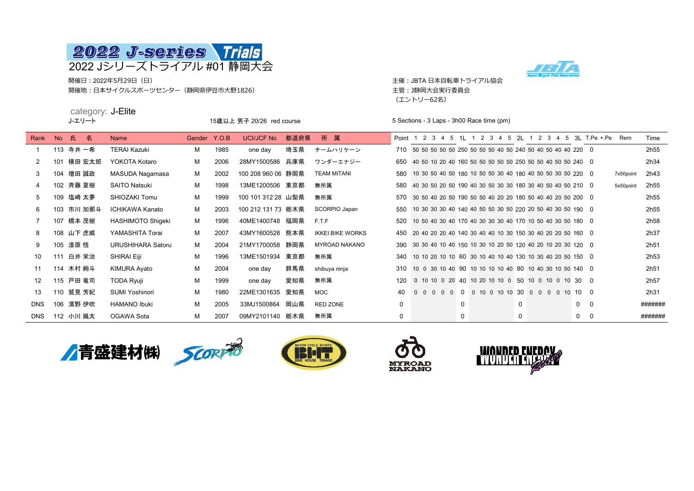

開催日:2022年5月29日(日) 主催:JBTA 日本自転車トライアル協会 開催地:日本サイクルスポーツセンター(静岡県伊豆市大野1826) またのはない このはない このことを言う 主管: J静岡大会実行委員会

(エントリー62名)



|                |     | category: J-Elite<br>J-エリート |                          |              | 15歳以上 男子 20/26 red course |                    |      |                         |             |  |  | 5 Sections - 3 Laps - 3h00 Race time (pm) |   |  |  |                                                                |   |  |  |  |             |                                                           |           |                  |
|----------------|-----|-----------------------------|--------------------------|--------------|---------------------------|--------------------|------|-------------------------|-------------|--|--|-------------------------------------------|---|--|--|----------------------------------------------------------------|---|--|--|--|-------------|-----------------------------------------------------------|-----------|------------------|
| Rank           | No  | 氏.<br>名                     | <b>Name</b>              | Gender Y.O.B |                           | UCI/JCF No         | 都道府県 | 所 属                     |             |  |  |                                           |   |  |  |                                                                |   |  |  |  |             | Point 1 2 3 4 5 1 1 1 2 3 4 5 2 1 2 3 4 5 3 T.Pe + Pe Rem |           | Time             |
|                |     | 113 寺井 一希                   | <b>TERAI Kazuki</b>      | м            | 1985                      | one day            | 埼玉県  | チームハリケーン                |             |  |  |                                           |   |  |  | 710 50 50 50 50 50 250 50 50 50 40 50 240 50 40 50 40 40 220 0 |   |  |  |  |             |                                                           |           | 2h <sub>55</sub> |
| $\overline{2}$ | 101 | 横田 宏太郎                      | YOKOTA Kotaro            | м            | 2006                      | 28MY1500586 兵庫県    |      | ワンダーエナジー                | 650         |  |  |                                           |   |  |  | 40 50 10 20 40 160 50 50 50 50 50 250 50 50 40 50 50 240 0     |   |  |  |  |             |                                                           |           | 2h34             |
| 3              |     | 104 増田 誠政                   | MASUDA Nagamasa          | М            | 2002                      | 100 208 960 06 静岡県 |      | <b>TEAM MITANI</b>      | 580         |  |  |                                           |   |  |  | 10 30 50 40 50 180 10 50 50 30 40 180 40 50 50 30 50 220 0     |   |  |  |  |             |                                                           | 7x50point | 2h43             |
| 4              |     | 102 斉藤 夏樹                   | <b>SAITO Natsuki</b>     | м            | 1998                      | 13ME1200506 東京都    |      | 無所属                     | 580         |  |  |                                           |   |  |  | 40 30 50 20 50 190 40 30 50 30 30 180 30 40 50 40 50 210 0     |   |  |  |  |             |                                                           | 5x50point | 2h55             |
| 5              |     | 109 塩崎 太夢                   | SHIOZAKI Tomu            | м            | 1999                      | 100 101 312 28 山梨県 |      | 無所属                     | 570         |  |  |                                           |   |  |  | 30 50 40 20 50 190 50 50 40 20 20 180 50 40 40 20 50 200 0     |   |  |  |  |             |                                                           |           | 2h <sub>55</sub> |
| 6              |     | 103 市川 加那斗                  | <b>ICHIKAWA Kanato</b>   | м            | 2003                      | 100 212 131 73 栃木県 |      | SCORPIO Japan           | 550         |  |  |                                           |   |  |  | 10 30 30 30 40 140 40 50 50 30 50 220 20 50 40 30 50 190 0     |   |  |  |  |             |                                                           |           | 2h <sub>55</sub> |
|                |     | 107 橋本 茂樹                   | HASHIMOTO Shigeki        | м            | 1996                      | 40ME1400748 福岡県    |      | F.T.F                   | 520         |  |  |                                           |   |  |  | 10 50 40 30 40 170 40 30 30 30 40 170 10 50 40 30 50 180 0     |   |  |  |  |             |                                                           |           | 2h58             |
| 8              |     | 108 山下 虎威                   | YAMASHITA Torai          | м            | 2007                      | 43MY1600528 熊本県    |      | <b>IKKEI BIKE WORKS</b> | 450         |  |  |                                           |   |  |  | 20 40 20 20 40 140 30 40 40 10 30 150 30 40 20 20 50 160 0     |   |  |  |  |             |                                                           |           | 2h37             |
| 9              |     | 105 漆原悟                     | <b>URUSHIHARA Satoru</b> | M            | 2004                      | 21MY1700058 静岡県    |      | <b>MYROAD NAKANO</b>    | 390         |  |  |                                           |   |  |  | 30 30 40 10 40 150 10 30 10 20 50 120 40 20 10 20 30 120 0     |   |  |  |  |             |                                                           |           | 2h51             |
| 10             | 111 | 白井 栄治                       | <b>SHIRAI Eiji</b>       | м            | 1996                      | 13ME1501934 東京都    |      | 無所属                     | 340         |  |  |                                           |   |  |  | 10 10 20 10 10 60 30 10 40 10 40 130 10 30 40 20 50 150 0      |   |  |  |  |             |                                                           |           | 2h <sub>53</sub> |
| 11             |     | 114 木村 絢斗                   | <b>KIMURA Ayato</b>      | м            | 2004                      | one day            | 群馬県  | shibuya ninja           | 310         |  |  |                                           |   |  |  | 10 0 30 10 40 90 10 10 10 10 40 80 10 40 30 10 50 140 0        |   |  |  |  |             |                                                           |           | 2h <sub>51</sub> |
| 12             |     | 115 戸田 竜司                   | <b>TODA Ryuji</b>        | м            | 1999                      | one day            | 愛知県  | 無所属                     | 120         |  |  |                                           |   |  |  | 0 10 10 0 20 40 10 20 10 10 0 50 10 0 10 0 10 30 0             |   |  |  |  |             |                                                           |           | 2h <sub>57</sub> |
| 13             |     | 110 鷲見 芳紀                   | <b>SUMI Yoshinori</b>    | м            | 1980                      | 22ME1301635        | 愛知県  | <b>MOC</b>              | 40          |  |  |                                           |   |  |  | 0 0 0 0 0 0 10 0 10 10 30 0 0 0 0 10 10 0                      |   |  |  |  |             |                                                           |           | 2h31             |
| <b>DNS</b>     |     | 106 濱野 伊吹                   | <b>HAMANO Ibuki</b>      | м            | 2005                      | 33MJ1500864 岡山県    |      | RED ZONE                | $\mathbf 0$ |  |  |                                           | 0 |  |  |                                                                | 0 |  |  |  | $\mathbf 0$ | $\mathbf 0$                                               |           | #######          |

DNS 112 小川 颯太 OGAWA Sota M 2007 09MY2101140 栃木県 無所属 0 0 0 0 0 #######









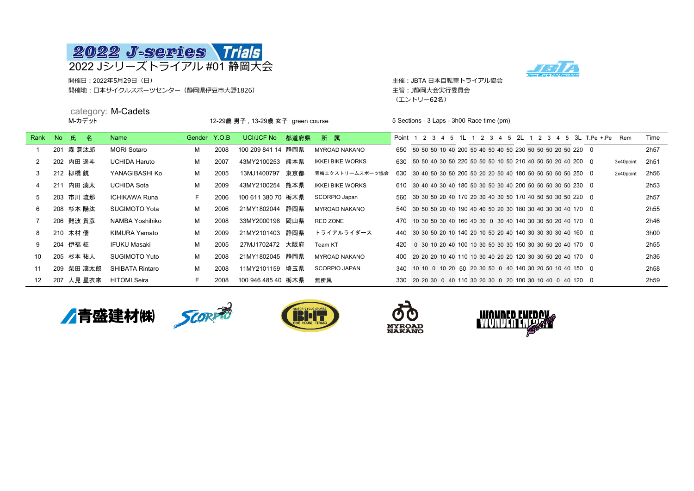

開催日 : 2022年5月29日(日) しょうきょうしょう しょうしゅう こうしゅう こうしゅう こうしゅう こうしゅう キ催 : JBTA 日本自転車トライアル協会 開催地:日本サイクルスポーツセンター(静岡県伊豆市大野1826) きゅうしゃ こうしゃ こうしゃ キ管: J静岡大会実行委員会

(エントリー62名)



category: M-Cadets<br>M-カデット 12-29歳 男子 13-29歳 女子 green course 5 Sections - 3 Laps - 3h00 Race time (pm) Rank No 氏 名 Name Gender Y.O.B UCI/JCF No 都道府県 所 属 Point 1 2 3 4 5 1L 1 2 3 4 5 2L 1 2 3 4 5 3L T.Pe +.Pe Rem Time 1 201 森 蒼汰郎 MORI Sotaro M 2008 100 209 841 14 静岡県 MYROAD NAKANO 650 50 50 10 40 200 50 40 50 40 50 40 50 50 50 50 50 50 50 220 0 2h57 2 202 内田 遥斗 UCHIDA Haruto M 2007 43MY2100253 熊本県 IKKEI BIKE WORKS 630 50 50 40 30 50 50 50 50 50 10 50 50 10 40 50 50 20 40 200 0 3x40point 2h51 3 212 柳橋 航 YANAGIBASHI Ko M 2005 13MJ1400797 東京都 青梅エクストリームスポーツ協会 630 30 40 50 30 50 200 50 20 50 40 180 50 50 50 50 50 50 50 0 2x40point 2h56 4 211 内田 湊太 UCHIDA Sota M 2009 43MY2100254 熊本県 IKKEI BIKE WORKS 610 30 40 40 30 40 180 50 30 50 30 40 200 50 50 50 50 50 50 230 0 2h53 5 203 市川 琉那 ICHIKAWA Runa F 2006 100 611 380 70 栃木県 SCORPIO Japan 560 30 30 50 20 40 170 20 30 40 30 50 170 40 50 50 30 50 220 0 2h57 6 208 杉本 陽汰 SUGIMOTO Yota M 2006 21MY1802044 静岡県 MYROAD NAKANO 540 30 50 50 20 40 190 40 40 50 20 30 180 30 40 30 30 40 170 0 2h55 7 206 難波 貴彦 NAMBA Yoshihiko M 2008 33MY2000198 岡山県 RED ZONE 470 10 30 50 30 40 160 40 30 0 30 40 140 30 30 50 20 40 170 0 2h46 8 210 木村 倭 KIMURA Yamato M 2009 21MY2101403 静岡県 トライアルライダース 440 30 30 50 20 10 140 20 10 50 20 40 140 30 30 30 30 30 30 40 160 0 3h00 9 204 伊福 柾 IFUKU Masaki M 2005 27MJ1702472 大阪府 Team KT 420 0 30 10 20 40 100 10 30 50 30 30 150 30 30 50 20 40 170 0 2h55 10 205 杉本 祐人 SUGIMOTO Yuto M 2008 21MY1802045 静岡県 MYROAD NAKANO 400 20 20 10 40 110 10 30 40 20 20 120 30 30 50 20 40 170 0 2h36 11 209 柴田 凜太郎 SHIBATA Rintaro M 2008 11MY2101159 埼玉県 SCORPIO JAPAN 340 10 10 0 10 20 50 20 30 50 0 40 140 30 20 50 10 40 150 0 2h58 12 207 人見 星衣來 HITOMI Seira F 2008 100 946 485 40 栃木県 無所属 330 20 20 30 0 40 110 30 20 30 0 20 100 30 10 40 0 40 120 0 2h59









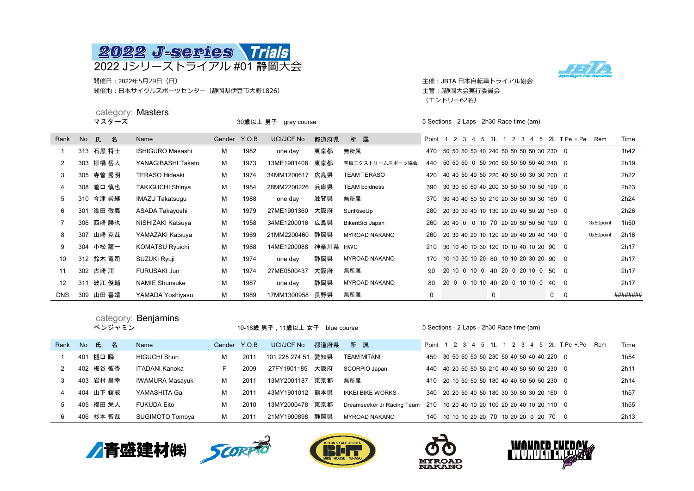

開催日 : 2022年5月29日(日) しかしゃ こうしゃ こうしゃ こうしゃ こうしゃ こうしゃ こうしゃ 主催 : JBTA 日本自転車トライアル協会 開催地:日本サイクルスポーツセンター(静岡県伊豆市大野1826) またのはない このはない こうかい 主管: J静岡大会実行委員会

category: Masters



(エントリー62名)

|            |           |           | マスターズ | <u>valuyu ya mashuis</u> | 30歳以上 男子 gray course |      |                 |          |                      |       |                                             | 5 Sections - 2 Laps - 2h30 Race time (am) |  |   |  |  |  |   |                                            |                                     |           |          |  |
|------------|-----------|-----------|-------|--------------------------|----------------------|------|-----------------|----------|----------------------|-------|---------------------------------------------|-------------------------------------------|--|---|--|--|--|---|--------------------------------------------|-------------------------------------|-----------|----------|--|
| Rank       | <b>No</b> | 氏         | 名     | Name                     | Gender Y.O.B         |      | UCI/JCF No      | 都道府県     | 所 属                  | Point |                                             |                                           |  |   |  |  |  |   |                                            | 1 2 3 4 5 1L 1 2 3 4 5 2L T.Pe +.Pe | Rem       | Time     |  |
|            |           | 313 石黒 将士 |       | <b>ISHIGURO Masashi</b>  | м                    | 1982 | one day         | 東京都      | 無所属                  | 470   | 50 50 50 50 40 240 50 50 50 50 30 230 0     |                                           |  |   |  |  |  |   |                                            |                                     |           | 1h42     |  |
| 2          |           | 303 柳橋岳人  |       | YANAGIBASHI Takato       | м                    | 1973 | 13ME1901408     | 東京都      | 青梅エクストリームスポーツ協会      |       |                                             |                                           |  |   |  |  |  |   | 440 50 50 50 0 50 200 50 50 50 50 40 240 0 |                                     |           | 2h19     |  |
| 3          |           | 305 寺曽 秀明 |       | <b>TERASO Hideaki</b>    | м                    | 1974 | 34MM1200617 広島県 |          | <b>TEAM TERASO</b>   | 420   | 40 40 50 40 50 220 40 50 50 30 30 200 0     |                                           |  |   |  |  |  |   |                                            |                                     |           | 2h22     |  |
| 4          |           | 308 瀧口 慎也 |       | <b>TAKIGUCHI Shinya</b>  | М                    | 1984 | 28MM2200226 兵庫県 |          | <b>TEAM boldness</b> |       | 390 30 30 50 50 40 200 30 50 50 10 50 190 0 |                                           |  |   |  |  |  |   |                                            |                                     |           | 2h23     |  |
| 5          |           | 310 今津 崇継 |       | IMAZU Takatsugu          | м                    | 1988 | one day         | 滋賀県      | 無所属                  |       | 370 30 40 40 50 50 210 20 30 50 30 30 160 0 |                                           |  |   |  |  |  |   |                                            |                                     |           | 2h24     |  |
| 6          |           | 301 浅田 敬義 |       | ASADA Takayoshi          | м                    | 1979 | 27ME1901360     | 大阪府      | SunRiseUp            |       | 280 20 30 30 40 10 130 20 20 40 50 20 150 0 |                                           |  |   |  |  |  |   |                                            |                                     |           | 2h26     |  |
|            |           | 306 西崎 勝也 |       | NISHIZAKI Katsuya        | м                    | 1958 | 34ME1200016 広島県 |          | BikenBici Japan      | 260   |                                             |                                           |  |   |  |  |  |   | 20 40 0 0 10 70 20 20 50 50 50 190 0       |                                     | 3x50point | 1h50     |  |
| 8          |           | 307 山崎 克哉 |       | YAMAZAKI Katsuya         | м                    | 1969 | 21MM2200460 静岡県 |          | <b>MYROAD NAKANO</b> | 260   |                                             |                                           |  |   |  |  |  |   | 20 30 40 20 10 120 20 20 40 20 40 140 0    |                                     | 0x50point | 2h16     |  |
| 9          |           | 304 小松 龍一 |       | <b>KOMATSU Ryuichi</b>   | м                    | 1988 | 14ME1200088     | 神奈川県 HWC |                      |       |                                             |                                           |  |   |  |  |  |   | 210 30 10 40 10 30 120 10 10 40 10 20 90 0 |                                     |           | 2h17     |  |
| 10         |           | 312 鈴木 竜司 |       | SUZUKI Ryuji             | М                    | 1974 | one day         | 静岡県      | <b>MYROAD NAKANO</b> | 170   | 10 10 30 10 20 80 10 10 20 30 20 90 0       |                                           |  |   |  |  |  |   |                                            |                                     |           | 2h17     |  |
| 11         |           | 302 古崎 潤  |       | <b>FURUSAKI Jun</b>      | м                    | 1974 | 27ME0500437     | 大阪府      | 無所属                  | 90    | 20 10 0 10 0 40 20 0 20 10 0 50 0           |                                           |  |   |  |  |  |   |                                            |                                     |           | 2h17     |  |
| 12         |           | 311 波江 俊輔 |       | <b>NAMIE Shunsuke</b>    | м                    | 1987 | one day         | 静岡県      | <b>MYROAD NAKANO</b> | 80    | 20 0 0 10 10 40 20 0 10 10 0 40 0           |                                           |  |   |  |  |  |   |                                            |                                     |           | 2h17     |  |
| <b>DNS</b> |           | 309 山田 喜靖 |       | YAMADA Yoshiyasu         | м                    | 1989 | 17MM1300958     | 長野県      | 無所属                  | 0     |                                             |                                           |  | 0 |  |  |  | 0 | $\mathbf 0$                                |                                     |           | ######## |  |

|      | : Benjamins<br>category:<br>ベンジャミン |           |           |                     |              | 10-18歳 男子 , 11歳以上 女子 blue course |                   |      |                            |         |                                             | 5 Sections - 2 Laps - 2h30 Race time (am) |  |  |  |  |  |                               |  |                  |  |  |
|------|------------------------------------|-----------|-----------|---------------------|--------------|----------------------------------|-------------------|------|----------------------------|---------|---------------------------------------------|-------------------------------------------|--|--|--|--|--|-------------------------------|--|------------------|--|--|
| Rank | No                                 | 氏         | 名         | Name                | Gender Y.O.B |                                  | <b>UCI/JCF No</b> | 都道府県 | 所属                         | Point 1 | 2 3 4 5                                     |                                           |  |  |  |  |  | 1L 1 2 3 4 5 2L T.Pe +.Pe Rem |  | Time             |  |  |
|      |                                    | 401 樋口 瞬  |           | <b>HIGUCHI Shun</b> | м            | 2011                             | 101 225 274 51    | 愛知県  | <b>TEAM MITANI</b>         | 450     | 30 50 50 50 50 230 50 40 50 40 40 220 0     |                                           |  |  |  |  |  |                               |  | 1h <sub>54</sub> |  |  |
|      |                                    | 402 板谷 彼香 |           | ITADANI Kanoka      | F.           | 2009                             | 27FY1901185       | 大阪府  | SCORPIO Japan              | 440     | 40 20 50 50 50 210 40 40 50 50 50 230 0     |                                           |  |  |  |  |  |                               |  | 2h11             |  |  |
|      |                                    | 403 岩村 昌幸 |           | IWAMURA Masayuki    | м            | 2011                             | 13MY2001187       | 東京都  | 無所属                        |         | 410 20 10 50 50 50 180 40 40 50 50 50 230 0 |                                           |  |  |  |  |  |                               |  | 2h14             |  |  |
| 4    |                                    |           | 404 山下 鎧威 | YAMASHITA Gai       | м            | 2011                             | 43MY1901012 熊本県   |      | <b>IKKEI BIKE WORKS</b>    |         | 340 20 20 50 40 50 180 30 30 50 30 20 160 0 |                                           |  |  |  |  |  |                               |  | 1h <sub>57</sub> |  |  |
| 5    |                                    | 405 福田 栄人 |           | <b>FUKUDA Eito</b>  | м            | 2010                             | 13MY2000478 東京都   |      | Dreamseeker Jr Racing Team | 210     | 10 20 40 10 20 100 20 20 40 10 20 110 0     |                                           |  |  |  |  |  |                               |  | 1h <sub>55</sub> |  |  |
| 6    |                                    | 406 杉本 智哉 |           | SUGIMOTO Tomoya     | м            | 2011                             | 21MY1900898 静岡県   |      | MYROAD NAKANO              | 140     | 10 10 10 20 20 70 10 20 20 0 20 70 0        |                                           |  |  |  |  |  |                               |  | 2h13             |  |  |